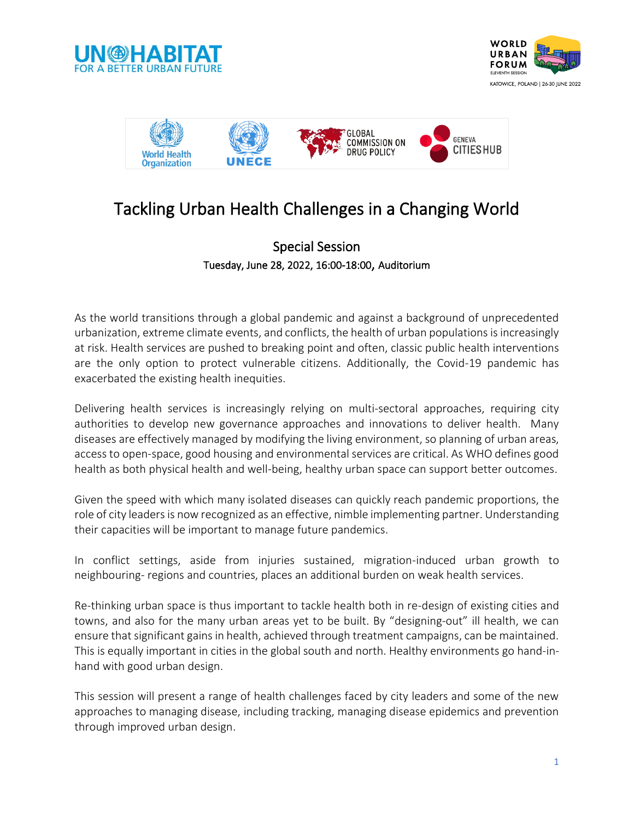





## Tackling Urban Health Challenges in a Changing World

### Special Session Tuesday, June 28, 2022, 16:00-18:00, Auditorium

As the world transitions through a global pandemic and against a background of unprecedented urbanization, extreme climate events, and conflicts, the health of urban populations is increasingly at risk. Health services are pushed to breaking point and often, classic public health interventions are the only option to protect vulnerable citizens. Additionally, the Covid-19 pandemic has exacerbated the existing health inequities.

Delivering health services is increasingly relying on multi-sectoral approaches, requiring city authorities to develop new governance approaches and innovations to deliver health. Many diseases are effectively managed by modifying the living environment, so planning of urban areas, access to open-space, good housing and environmental services are critical. As WHO defines good health as both physical health and well-being, healthy urban space can support better outcomes.

Given the speed with which many isolated diseases can quickly reach pandemic proportions, the role of city leaders is now recognized as an effective, nimble implementing partner. Understanding their capacities will be important to manage future pandemics.

In conflict settings, aside from injuries sustained, migration-induced urban growth to neighbouring- regions and countries, places an additional burden on weak health services.

Re-thinking urban space is thus important to tackle health both in re-design of existing cities and towns, and also for the many urban areas yet to be built. By "designing-out" ill health, we can ensure that significant gains in health, achieved through treatment campaigns, can be maintained. This is equally important in cities in the global south and north. Healthy environments go hand-inhand with good urban design.

This session will present a range of health challenges faced by city leaders and some of the new approaches to managing disease, including tracking, managing disease epidemics and prevention through improved urban design.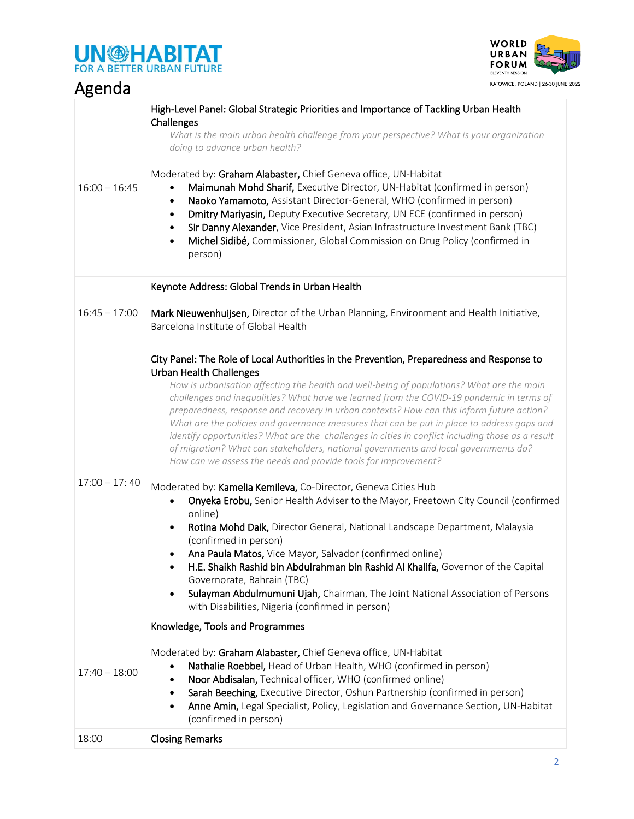# **UN OHABITAT**



| Agenda          | KATOWICE, POLAND   26-30 JUNE :                                                                                                                                                                                                                                                                                                                                                                                                                                                                                                                                                                                                                                                                                                                                                                                                                                                                                                                                                                                                                                                                                                                                                                                                                                                                                                                                                                                      |
|-----------------|----------------------------------------------------------------------------------------------------------------------------------------------------------------------------------------------------------------------------------------------------------------------------------------------------------------------------------------------------------------------------------------------------------------------------------------------------------------------------------------------------------------------------------------------------------------------------------------------------------------------------------------------------------------------------------------------------------------------------------------------------------------------------------------------------------------------------------------------------------------------------------------------------------------------------------------------------------------------------------------------------------------------------------------------------------------------------------------------------------------------------------------------------------------------------------------------------------------------------------------------------------------------------------------------------------------------------------------------------------------------------------------------------------------------|
| $16:00 - 16:45$ | High-Level Panel: Global Strategic Priorities and Importance of Tackling Urban Health<br>Challenges<br>What is the main urban health challenge from your perspective? What is your organization<br>doing to advance urban health?<br>Moderated by: Graham Alabaster, Chief Geneva office, UN-Habitat<br>Maimunah Mohd Sharif, Executive Director, UN-Habitat (confirmed in person)<br>Naoko Yamamoto, Assistant Director-General, WHO (confirmed in person)<br>$\bullet$<br>Dmitry Mariyasin, Deputy Executive Secretary, UN ECE (confirmed in person)<br>Sir Danny Alexander, Vice President, Asian Infrastructure Investment Bank (TBC)<br>Michel Sidibé, Commissioner, Global Commission on Drug Policy (confirmed in<br>$\bullet$<br>person)                                                                                                                                                                                                                                                                                                                                                                                                                                                                                                                                                                                                                                                                     |
|                 | Keynote Address: Global Trends in Urban Health                                                                                                                                                                                                                                                                                                                                                                                                                                                                                                                                                                                                                                                                                                                                                                                                                                                                                                                                                                                                                                                                                                                                                                                                                                                                                                                                                                       |
| $16:45 - 17:00$ | Mark Nieuwenhuijsen, Director of the Urban Planning, Environment and Health Initiative,<br>Barcelona Institute of Global Health                                                                                                                                                                                                                                                                                                                                                                                                                                                                                                                                                                                                                                                                                                                                                                                                                                                                                                                                                                                                                                                                                                                                                                                                                                                                                      |
| $17:00 - 17:40$ | City Panel: The Role of Local Authorities in the Prevention, Preparedness and Response to<br><b>Urban Health Challenges</b><br>How is urbanisation affecting the health and well-being of populations? What are the main<br>challenges and inequalities? What have we learned from the COVID-19 pandemic in terms of<br>preparedness, response and recovery in urban contexts? How can this inform future action?<br>What are the policies and governance measures that can be put in place to address gaps and<br>identify opportunities? What are the challenges in cities in conflict including those as a result<br>of migration? What can stakeholders, national governments and local governments do?<br>How can we assess the needs and provide tools for improvement?<br>Moderated by: Kamelia Kemileva, Co-Director, Geneva Cities Hub<br>Onyeka Erobu, Senior Health Adviser to the Mayor, Freetown City Council (confirmed<br>online)<br>Rotina Mohd Daik, Director General, National Landscape Department, Malaysia<br>(confirmed in person)<br>Ana Paula Matos, Vice Mayor, Salvador (confirmed online)<br>$\bullet$<br>H.E. Shaikh Rashid bin Abdulrahman bin Rashid Al Khalifa, Governor of the Capital<br>$\bullet$<br>Governorate, Bahrain (TBC)<br>Sulayman Abdulmumuni Ujah, Chairman, The Joint National Association of Persons<br>$\bullet$<br>with Disabilities, Nigeria (confirmed in person) |
| $17:40 - 18:00$ | Knowledge, Tools and Programmes<br>Moderated by: Graham Alabaster, Chief Geneva office, UN-Habitat<br>Nathalie Roebbel, Head of Urban Health, WHO (confirmed in person)<br>Noor Abdisalan, Technical officer, WHO (confirmed online)<br>$\bullet$<br>Sarah Beeching, Executive Director, Oshun Partnership (confirmed in person)<br>Anne Amin, Legal Specialist, Policy, Legislation and Governance Section, UN-Habitat<br>$\bullet$<br>(confirmed in person)                                                                                                                                                                                                                                                                                                                                                                                                                                                                                                                                                                                                                                                                                                                                                                                                                                                                                                                                                        |
| 18:00           | <b>Closing Remarks</b>                                                                                                                                                                                                                                                                                                                                                                                                                                                                                                                                                                                                                                                                                                                                                                                                                                                                                                                                                                                                                                                                                                                                                                                                                                                                                                                                                                                               |